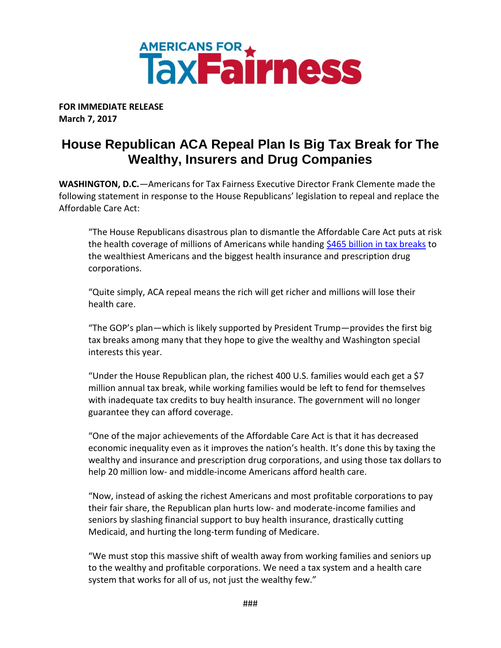

**FOR IMMEDIATE RELEASE March 7, 2017**

## **House Republican ACA Repeal Plan Is Big Tax Break for The Wealthy, Insurers and Drug Companies**

**WASHINGTON, D.C.***—*Americans for Tax Fairness Executive Director Frank Clemente made the following statement in response to the House Republicans' legislation to repeal and replace the Affordable Care Act:

"The House Republicans disastrous plan to dismantle the Affordable Care Act puts at risk the health coverage of millions of Americans while handing \$465 [billion in tax breaks](https://americansfortaxfairness.org/wp-content/uploads/ATF-Fact-Sheet-Tax-Cuts-for-Wealthy-Corporations-From-Obamacare-Repeal.pdf) to the wealthiest Americans and the biggest health insurance and prescription drug corporations.

"Quite simply, ACA repeal means the rich will get richer and millions will lose their health care.

"The GOP's plan—which is likely supported by President Trump—provides the first big tax breaks among many that they hope to give the wealthy and Washington special interests this year.

"Under the House Republican plan, the richest 400 U.S. families would each get a \$7 million annual tax break, while working families would be left to fend for themselves with inadequate tax credits to buy health insurance. The government will no longer guarantee they can afford coverage.

"One of the major achievements of the Affordable Care Act is that it has decreased economic inequality even as it improves the nation's health. It's done this by taxing the wealthy and insurance and prescription drug corporations, and using those tax dollars to help 20 million low- and middle-income Americans afford health care.

"Now, instead of asking the richest Americans and most profitable corporations to pay their fair share, the Republican plan hurts low- and moderate-income families and seniors by slashing financial support to buy health insurance, drastically cutting Medicaid, and hurting the long-term funding of Medicare.

"We must stop this massive shift of wealth away from working families and seniors up to the wealthy and profitable corporations. We need a tax system and a health care system that works for all of us, not just the wealthy few."